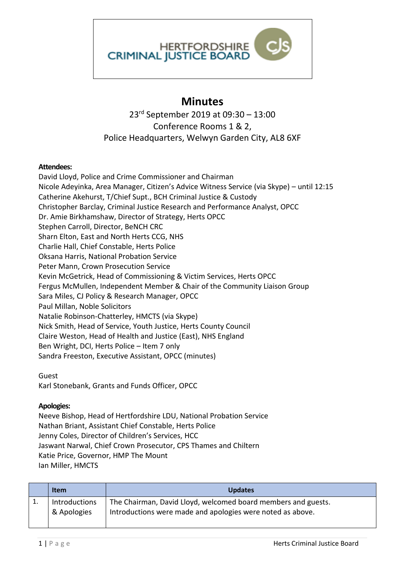

## **Minutes**

23rd September 2019 at 09:30 – 13:00 Conference Rooms 1 & 2, Police Headquarters, Welwyn Garden City, AL8 6XF

## **Attendees:**

David Lloyd, Police and Crime Commissioner and Chairman Nicole Adeyinka, Area Manager, Citizen's Advice Witness Service (via Skype) – until 12:15 Catherine Akehurst, T/Chief Supt., BCH Criminal Justice & Custody Christopher Barclay, Criminal Justice Research and Performance Analyst, OPCC Dr. Amie Birkhamshaw, Director of Strategy, Herts OPCC Stephen Carroll, Director, BeNCH CRC Sharn Elton, East and North Herts CCG, NHS Charlie Hall, Chief Constable, Herts Police Oksana Harris, National Probation Service Peter Mann, Crown Prosecution Service Kevin McGetrick, Head of Commissioning & Victim Services, Herts OPCC Fergus McMullen, Independent Member & Chair of the Community Liaison Group Sara Miles, CJ Policy & Research Manager, OPCC Paul Millan, Noble Solicitors Natalie Robinson-Chatterley, HMCTS (via Skype) Nick Smith, Head of Service, Youth Justice, Herts County Council Claire Weston, Head of Health and Justice (East), NHS England Ben Wright, DCI, Herts Police – Item 7 only Sandra Freeston, Executive Assistant, OPCC (minutes)

Guest

Karl Stonebank, Grants and Funds Officer, OPCC

## **Apologies:**

Neeve Bishop, Head of Hertfordshire LDU, National Probation Service Nathan Briant, Assistant Chief Constable, Herts Police Jenny Coles, Director of Children's Services, HCC Jaswant Narwal, Chief Crown Prosecutor, CPS Thames and Chiltern Katie Price, Governor, HMP The Mount Ian Miller, HMCTS

| <b>Item</b>                  | <b>Updates</b>                                                                                                              |
|------------------------------|-----------------------------------------------------------------------------------------------------------------------------|
| Introductions<br>& Apologies | The Chairman, David Lloyd, welcomed board members and guests.<br>Introductions were made and apologies were noted as above. |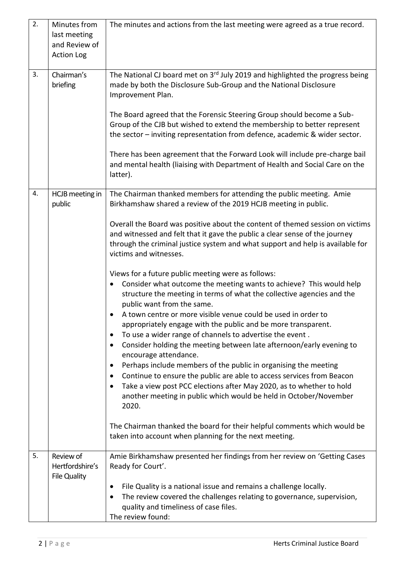| 2. | Minutes from<br>last meeting<br>and Review of<br><b>Action Log</b> | The minutes and actions from the last meeting were agreed as a true record.                                                                                                                                                                                                                                                                                                                                                                                                                                                                                                                                                                                                                                                                                                                                                                                                                                                                                                                                                                                                                                                                                                                                                                                                                                                                                                                                           |
|----|--------------------------------------------------------------------|-----------------------------------------------------------------------------------------------------------------------------------------------------------------------------------------------------------------------------------------------------------------------------------------------------------------------------------------------------------------------------------------------------------------------------------------------------------------------------------------------------------------------------------------------------------------------------------------------------------------------------------------------------------------------------------------------------------------------------------------------------------------------------------------------------------------------------------------------------------------------------------------------------------------------------------------------------------------------------------------------------------------------------------------------------------------------------------------------------------------------------------------------------------------------------------------------------------------------------------------------------------------------------------------------------------------------------------------------------------------------------------------------------------------------|
| 3. | Chairman's<br>briefing                                             | The National CJ board met on 3rd July 2019 and highlighted the progress being<br>made by both the Disclosure Sub-Group and the National Disclosure<br>Improvement Plan.<br>The Board agreed that the Forensic Steering Group should become a Sub-<br>Group of the CJB but wished to extend the membership to better represent<br>the sector - inviting representation from defence, academic & wider sector.<br>There has been agreement that the Forward Look will include pre-charge bail<br>and mental health (liaising with Department of Health and Social Care on the<br>latter).                                                                                                                                                                                                                                                                                                                                                                                                                                                                                                                                                                                                                                                                                                                                                                                                                               |
| 4. | HCJB meeting in<br>public                                          | The Chairman thanked members for attending the public meeting. Amie<br>Birkhamshaw shared a review of the 2019 HCJB meeting in public.<br>Overall the Board was positive about the content of themed session on victims<br>and witnessed and felt that it gave the public a clear sense of the journey<br>through the criminal justice system and what support and help is available for<br>victims and witnesses.<br>Views for a future public meeting were as follows:<br>Consider what outcome the meeting wants to achieve? This would help<br>structure the meeting in terms of what the collective agencies and the<br>public want from the same.<br>A town centre or more visible venue could be used in order to<br>appropriately engage with the public and be more transparent.<br>To use a wider range of channels to advertise the event.<br>Consider holding the meeting between late afternoon/early evening to<br>٠<br>encourage attendance.<br>Perhaps include members of the public in organising the meeting<br>$\bullet$<br>Continue to ensure the public are able to access services from Beacon<br>٠<br>Take a view post PCC elections after May 2020, as to whether to hold<br>another meeting in public which would be held in October/November<br>2020.<br>The Chairman thanked the board for their helpful comments which would be<br>taken into account when planning for the next meeting. |
| 5. | Review of<br>Hertfordshire's<br><b>File Quality</b>                | Amie Birkhamshaw presented her findings from her review on 'Getting Cases<br>Ready for Court'.<br>File Quality is a national issue and remains a challenge locally.<br>The review covered the challenges relating to governance, supervision,<br>quality and timeliness of case files.<br>The review found:                                                                                                                                                                                                                                                                                                                                                                                                                                                                                                                                                                                                                                                                                                                                                                                                                                                                                                                                                                                                                                                                                                           |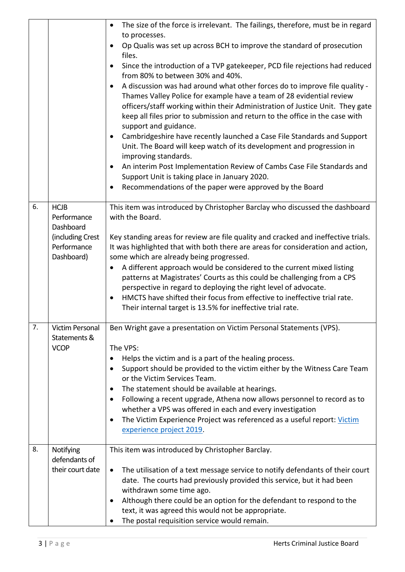|    |                                                                                          | The size of the force is irrelevant. The failings, therefore, must be in regard<br>to processes.<br>Op Qualis was set up across BCH to improve the standard of prosecution<br>$\bullet$<br>files.<br>Since the introduction of a TVP gatekeeper, PCD file rejections had reduced<br>$\bullet$<br>from 80% to between 30% and 40%.<br>A discussion was had around what other forces do to improve file quality -<br>$\bullet$<br>Thames Valley Police for example have a team of 28 evidential review<br>officers/staff working within their Administration of Justice Unit. They gate<br>keep all files prior to submission and return to the office in the case with |
|----|------------------------------------------------------------------------------------------|-----------------------------------------------------------------------------------------------------------------------------------------------------------------------------------------------------------------------------------------------------------------------------------------------------------------------------------------------------------------------------------------------------------------------------------------------------------------------------------------------------------------------------------------------------------------------------------------------------------------------------------------------------------------------|
|    |                                                                                          | support and guidance.<br>Cambridgeshire have recently launched a Case File Standards and Support<br>Unit. The Board will keep watch of its development and progression in<br>improving standards.<br>An interim Post Implementation Review of Cambs Case File Standards and                                                                                                                                                                                                                                                                                                                                                                                           |
|    |                                                                                          | Support Unit is taking place in January 2020.<br>Recommendations of the paper were approved by the Board                                                                                                                                                                                                                                                                                                                                                                                                                                                                                                                                                              |
| 6. | <b>HCJB</b><br>Performance<br>Dashboard<br>(including Crest<br>Performance<br>Dashboard) | This item was introduced by Christopher Barclay who discussed the dashboard<br>with the Board.<br>Key standing areas for review are file quality and cracked and ineffective trials.<br>It was highlighted that with both there are areas for consideration and action,<br>some which are already being progressed.<br>A different approach would be considered to the current mixed listing                                                                                                                                                                                                                                                                          |
|    |                                                                                          | patterns at Magistrates' Courts as this could be challenging from a CPS<br>perspective in regard to deploying the right level of advocate.<br>HMCTS have shifted their focus from effective to ineffective trial rate.<br>$\bullet$<br>Their internal target is 13.5% for ineffective trial rate.                                                                                                                                                                                                                                                                                                                                                                     |
| 7. | <b>Victim Personal</b><br>Statements &<br><b>VCOP</b>                                    | Ben Wright gave a presentation on Victim Personal Statements (VPS).<br>The VPS:<br>Helps the victim and is a part of the healing process.<br>Support should be provided to the victim either by the Witness Care Team<br>or the Victim Services Team.                                                                                                                                                                                                                                                                                                                                                                                                                 |
|    |                                                                                          | The statement should be available at hearings.<br>$\bullet$<br>Following a recent upgrade, Athena now allows personnel to record as to<br>$\bullet$<br>whether a VPS was offered in each and every investigation<br>The Victim Experience Project was referenced as a useful report: Victim<br>experience project 2019.                                                                                                                                                                                                                                                                                                                                               |
| 8. | Notifying<br>defendants of<br>their court date                                           | This item was introduced by Christopher Barclay.<br>The utilisation of a text message service to notify defendants of their court<br>$\bullet$<br>date. The courts had previously provided this service, but it had been<br>withdrawn some time ago.<br>Although there could be an option for the defendant to respond to the<br>text, it was agreed this would not be appropriate.<br>The postal requisition service would remain.                                                                                                                                                                                                                                   |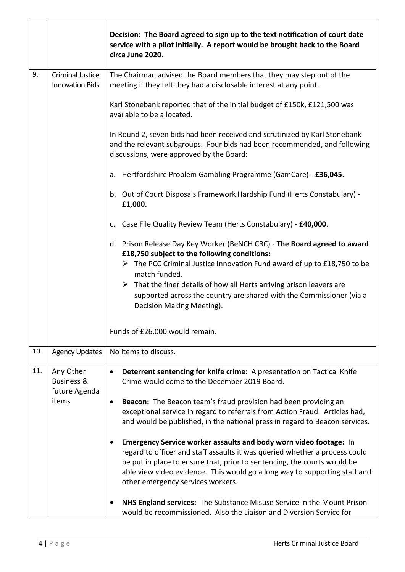|     |                                                     | Decision: The Board agreed to sign up to the text notification of court date<br>service with a pilot initially. A report would be brought back to the Board<br>circa June 2020.                                                                                                                                                                                                                                                  |
|-----|-----------------------------------------------------|----------------------------------------------------------------------------------------------------------------------------------------------------------------------------------------------------------------------------------------------------------------------------------------------------------------------------------------------------------------------------------------------------------------------------------|
| 9.  | <b>Criminal Justice</b><br><b>Innovation Bids</b>   | The Chairman advised the Board members that they may step out of the<br>meeting if they felt they had a disclosable interest at any point.                                                                                                                                                                                                                                                                                       |
|     |                                                     | Karl Stonebank reported that of the initial budget of £150k, £121,500 was<br>available to be allocated.                                                                                                                                                                                                                                                                                                                          |
|     |                                                     | In Round 2, seven bids had been received and scrutinized by Karl Stonebank<br>and the relevant subgroups. Four bids had been recommended, and following<br>discussions, were approved by the Board:                                                                                                                                                                                                                              |
|     |                                                     | a. Hertfordshire Problem Gambling Programme (GamCare) - £36,045.                                                                                                                                                                                                                                                                                                                                                                 |
|     |                                                     | b. Out of Court Disposals Framework Hardship Fund (Herts Constabulary) -<br>£1,000.                                                                                                                                                                                                                                                                                                                                              |
|     |                                                     | Case File Quality Review Team (Herts Constabulary) - £40,000.<br>c.                                                                                                                                                                                                                                                                                                                                                              |
|     |                                                     | d. Prison Release Day Key Worker (BeNCH CRC) - The Board agreed to award<br>£18,750 subject to the following conditions:<br>$\triangleright$ The PCC Criminal Justice Innovation Fund award of up to £18,750 to be<br>match funded.<br>$\triangleright$ That the finer details of how all Herts arriving prison leavers are<br>supported across the country are shared with the Commissioner (via a<br>Decision Making Meeting). |
|     |                                                     | Funds of £26,000 would remain.                                                                                                                                                                                                                                                                                                                                                                                                   |
| 10. | <b>Agency Updates</b>                               | No items to discuss.                                                                                                                                                                                                                                                                                                                                                                                                             |
| 11. | Any Other<br><b>Business &amp;</b><br>future Agenda | Deterrent sentencing for knife crime: A presentation on Tactical Knife<br>$\bullet$<br>Crime would come to the December 2019 Board.                                                                                                                                                                                                                                                                                              |
|     | items                                               | Beacon: The Beacon team's fraud provision had been providing an<br>$\bullet$<br>exceptional service in regard to referrals from Action Fraud. Articles had,<br>and would be published, in the national press in regard to Beacon services.                                                                                                                                                                                       |
|     |                                                     | Emergency Service worker assaults and body worn video footage: In<br>regard to officer and staff assaults it was queried whether a process could<br>be put in place to ensure that, prior to sentencing, the courts would be<br>able view video evidence. This would go a long way to supporting staff and<br>other emergency services workers.                                                                                  |
|     |                                                     | NHS England services: The Substance Misuse Service in the Mount Prison<br>would be recommissioned. Also the Liaison and Diversion Service for                                                                                                                                                                                                                                                                                    |